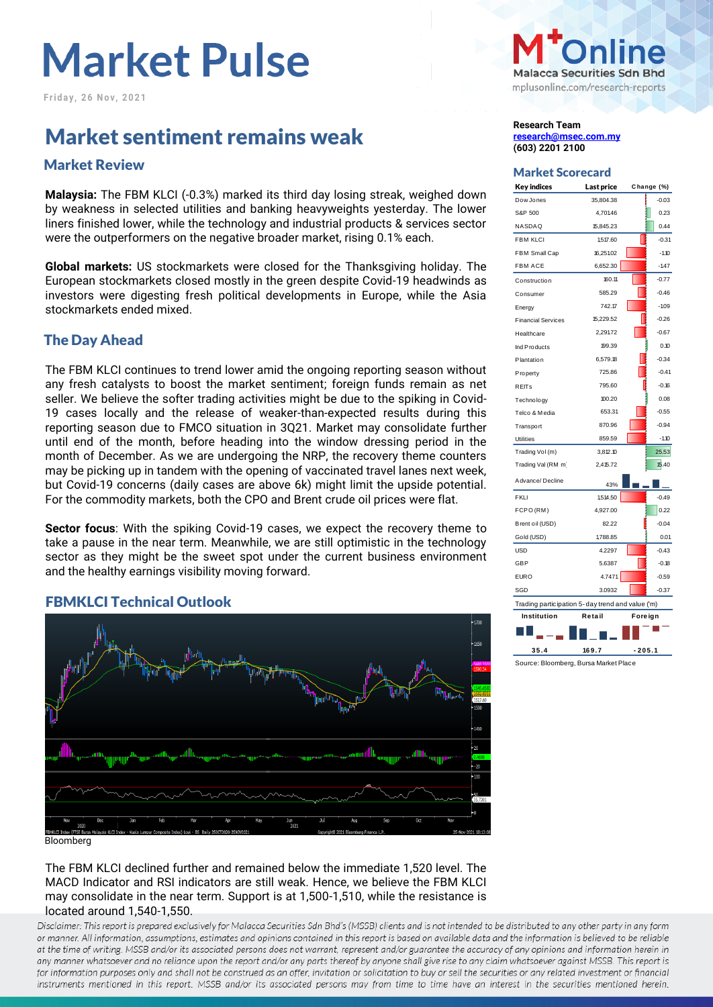# **Market Pulse**

**F r i d a y , 2 6 N o v , 2 0 2 1**

# **Market sentiment remains weak and the Construction Constraint Research Team**

## Market Scorecard Market Review

**Malaysia:** The FBM KLCI (-0.3%) marked its third day losing streak, weighed down by weakness in selected utilities and banking heavyweights yesterday. The lower liners finished lower, while the technology and industrial products & services sector were the outperformers on the negative broader market, rising 0.1% each.

**Global markets:** US stockmarkets were closed for the Thanksgiving holiday. The European stockmarkets closed mostly in the green despite Covid-19 headwinds as investors were digesting fresh political developments in Europe, while the Asia stockmarkets ended mixed.

### The Day Ahead

The FBM KLCI continues to trend lower amid the ongoing reporting season without any fresh catalysts to boost the market sentiment; foreign funds remain as net seller. We believe the softer trading activities might be due to the spiking in Covid-19 cases locally and the release of weaker-than-expected results during this reporting season due to FMCO situation in 3Q21. Market may consolidate further until end of the month, before heading into the window dressing period in the month of December. As we are undergoing the NRP, the recovery theme counters may be picking up in tandem with the opening of vaccinated travel lanes next week, but Covid-19 concerns (daily cases are above 6k) might limit the upside potential. For the commodity markets, both the CPO and Brent crude oil prices were flat.

**Sector focus**: With the spiking Covid-19 cases, we expect the recovery theme to take a pause in the near term. Meanwhile, we are still optimistic in the technology sector as they might be the sweet spot under the current business environment and the healthy earnings visibility moving forward.

### FBMKLCI Technical Outlook



**Bloomberg** 

The FBM KLCI declined further and remained below the immediate 1,520 level. The MACD Indicator and RSI indicators are still weak. Hence, we believe the FBM KLCI may consolidate in the near term. Support is at 1,500-1,510, while the resistance is located around 1,540-1,550.

Disclaimer: This report is prepared exclusively for Malacca Securities Sdn Bhd's (MSSB) clients and is not intended to be distributed to any other party in any form or manner. All information, assumptions, estimates and opinions contained in this report is based on available data and the information is believed to be reliable at the time of writing. MSSB and/or its associated persons does not warrant, represent and/or guarantee the accuracy of any opinions and information herein in any manner whatsoever and no reliance upon the report and/or any parts thereof by anyone shall give rise to any claim whatsoever against MSSB. This report is for information purposes only and shall not be construed as an offer, invitation or solicitation to buy or sell the securities or any related investment or financial instruments mentioned in this report. MSSB and/or its associated persons may from time to time have an interest in the securities mentioned herein.



**[research@msec.com.my](mailto:research@msec.com.my) (603) 2201 2100**

| <b>Key indices</b>                               | Last price | Change (%) |  |  |  |  |  |
|--------------------------------------------------|------------|------------|--|--|--|--|--|
| Dow Jones                                        | 35,804.38  | $-0.03$    |  |  |  |  |  |
| S&P 500                                          | 4,701.46   | 0.23       |  |  |  |  |  |
| NASDAQ                                           | 15,845.23  | 0.44       |  |  |  |  |  |
| <b>FBM KLCI</b>                                  | 1,517.60   | $-0.31$    |  |  |  |  |  |
| FBM Small Cap                                    | 16,251.02  | $-1.10$    |  |  |  |  |  |
| <b>FBM ACE</b>                                   | 6,652.30   | $-1.47$    |  |  |  |  |  |
| Construction                                     | 160.11     | $-0.77$    |  |  |  |  |  |
| Consumer                                         | 585.29     | $-0.46$    |  |  |  |  |  |
| Energy                                           | 742.17     | $-1.09$    |  |  |  |  |  |
| <b>Financial Services</b>                        | 15,229.52  | $-0.26$    |  |  |  |  |  |
| Healthcare                                       | 2,29172    | $-0.67$    |  |  |  |  |  |
| Ind Products                                     | 199.39     | 0.10       |  |  |  |  |  |
| Plantation                                       | 6,579.18   | $-0.34$    |  |  |  |  |  |
| Property                                         | 725.86     | $-0.41$    |  |  |  |  |  |
| <b>REITs</b>                                     | 795.60     | $-0.16$    |  |  |  |  |  |
| Technology                                       | 100.20     | 0.08       |  |  |  |  |  |
| Telco & Media                                    | 653.31     | $-0.55$    |  |  |  |  |  |
| Transport                                        | 870.96     | $-0.94$    |  |  |  |  |  |
| <b>Utilities</b>                                 | 859.59     | $-1.10$    |  |  |  |  |  |
| Trading Vol(m)                                   | 3,812.10   | 25.53      |  |  |  |  |  |
| Trading Val (RM m)                               | 2,415.72   | 15.40      |  |  |  |  |  |
| Advance/Decline                                  | 43%        |            |  |  |  |  |  |
| <b>FKLI</b>                                      | 1,514.50   | $-0.49$    |  |  |  |  |  |
| FCPO (RM)                                        | 4,927.00   | 0.22       |  |  |  |  |  |
| Brent oil (USD)                                  | 82.22      | $-0.04$    |  |  |  |  |  |
| Gold (USD)                                       | 1,788.85   | 0.01       |  |  |  |  |  |
| <b>USD</b>                                       | 4.2297     | $-0.43$    |  |  |  |  |  |
| <b>GBP</b>                                       | 5.6387     | $-0.18$    |  |  |  |  |  |
| <b>EURO</b>                                      | 4.7471     | $-0.59$    |  |  |  |  |  |
| SGD                                              | 3.0932     | $-0.37$    |  |  |  |  |  |
| Trading participation 5-day trend and value ('m) |            |            |  |  |  |  |  |
| Institution                                      | Retail     | Foreign    |  |  |  |  |  |
|                                                  |            |            |  |  |  |  |  |
| 35.4                                             | 169.7      | $-205.1$   |  |  |  |  |  |

Source: Bloomberg, Bursa Market Place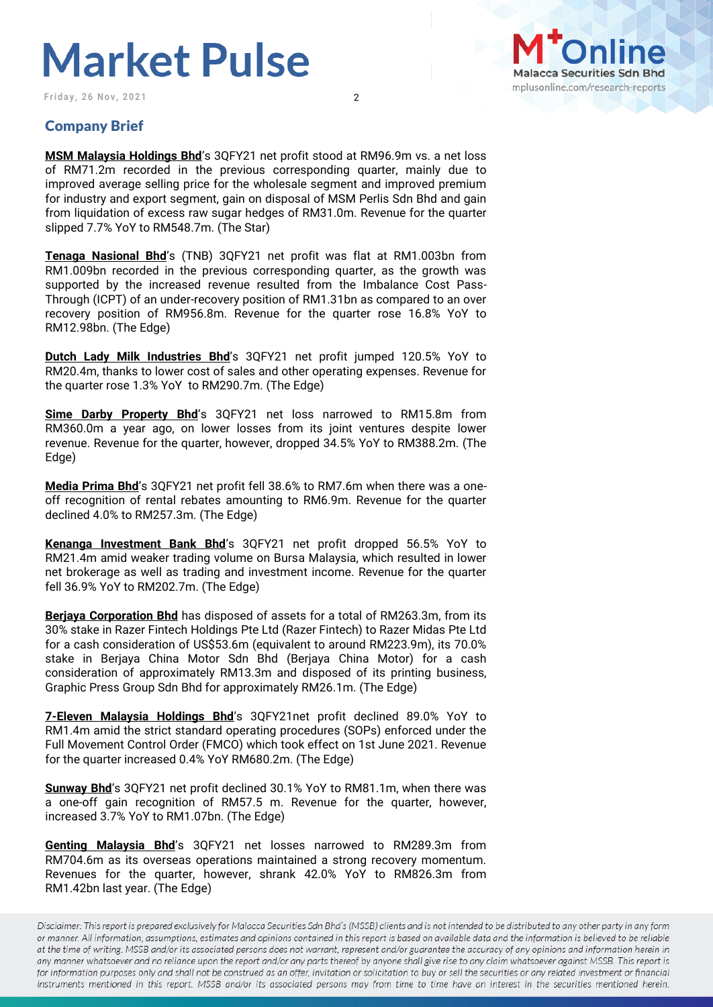# **Market Pulse**

**Friday, 26 Nov, 2021** 2



#### Company Brief

**MSM Malaysia Holdings Bhd**'s 3QFY21 net profit stood at RM96.9m vs. a net loss of RM71.2m recorded in the previous corresponding quarter, mainly due to improved average selling price for the wholesale segment and improved premium for industry and export segment, gain on disposal of MSM Perlis Sdn Bhd and gain from liquidation of excess raw sugar hedges of RM31.0m. Revenue for the quarter slipped 7.7% YoY to RM548.7m. (The Star)

**Tenaga Nasional Bhd**'s (TNB) 3QFY21 net profit was flat at RM1.003bn from RM1.009bn recorded in the previous corresponding quarter, as the growth was supported by the increased revenue resulted from the Imbalance Cost Pass-Through (ICPT) of an under-recovery position of RM1.31bn as compared to an over recovery position of RM956.8m. Revenue for the quarter rose 16.8% YoY to RM12.98bn. (The Edge)

**Dutch Lady Milk Industries Bhd**'s 3QFY21 net profit jumped 120.5% YoY to RM20.4m, thanks to lower cost of sales and other operating expenses. Revenue for the quarter rose 1.3% YoY to RM290.7m. (The Edge)

**Sime Darby Property Bhd's 3QFY21 net loss narrowed to RM15.8m from** RM360.0m a year ago, on lower losses from its joint ventures despite lower revenue. Revenue for the quarter, however, dropped 34.5% YoY to RM388.2m. (The Edge)

**Media Prima Bhd**'s 3QFY21 net profit fell 38.6% to RM7.6m when there was a oneoff recognition of rental rebates amounting to RM6.9m. Revenue for the quarter declined 4.0% to RM257.3m. (The Edge)

**Kenanga Investment Bank Bhd**'s 3QFY21 net profit dropped 56.5% YoY to RM21.4m amid weaker trading volume on Bursa Malaysia, which resulted in lower net brokerage as well as trading and investment income. Revenue for the quarter fell 36.9% YoY to RM202.7m. (The Edge)

**Berjaya Corporation Bhd** has disposed of assets for a total of RM263.3m, from its 30% stake in Razer Fintech Holdings Pte Ltd (Razer Fintech) to Razer Midas Pte Ltd for a cash consideration of US\$53.6m (equivalent to around RM223.9m), its 70.0% stake in Berjaya China Motor Sdn Bhd (Berjaya China Motor) for a cash consideration of approximately RM13.3m and disposed of its printing business, Graphic Press Group Sdn Bhd for approximately RM26.1m. (The Edge)

**7-Eleven Malaysia Holdings Bhd**'s 3QFY21net profit declined 89.0% YoY to RM1.4m amid the strict standard operating procedures (SOPs) enforced under the Full Movement Control Order (FMCO) which took effect on 1st June 2021. Revenue for the quarter increased 0.4% YoY RM680.2m. (The Edge)

**Sunway Bhd**'s 3QFY21 net profit declined 30.1% YoY to RM81.1m, when there was a one-off gain recognition of RM57.5 m. Revenue for the quarter, however, increased 3.7% YoY to RM1.07bn. (The Edge)

**Genting Malaysia Bhd**'s 3QFY21 net losses narrowed to RM289.3m from RM704.6m as its overseas operations maintained a strong recovery momentum. Revenues for the quarter, however, shrank 42.0% YoY to RM826.3m from RM1.42bn last year. (The Edge)

Disclaimer: This report is prepared exclusively for Malacca Securities Sdn Bhd's (MSSB) clients and is not intended to be distributed to any other party in any form or manner. All information, assumptions, estimates and opinions contained in this report is based on available data and the information is believed to be reliable at the time of writing. MSSB and/or its associated persons does not warrant, represent and/or guarantee the accuracy of any opinions and information herein in any manner whatsoever and no reliance upon the report and/or any parts thereof by anyone shall give rise to any claim whatsoever against MSSB. This report is for information purposes only and shall not be construed as an offer, invitation or solicitation to buy or sell the securities or any related investment or financial instruments mentioned in this report. MSSB and/or its associated persons may from time to time have an interest in the securities mentioned herein.